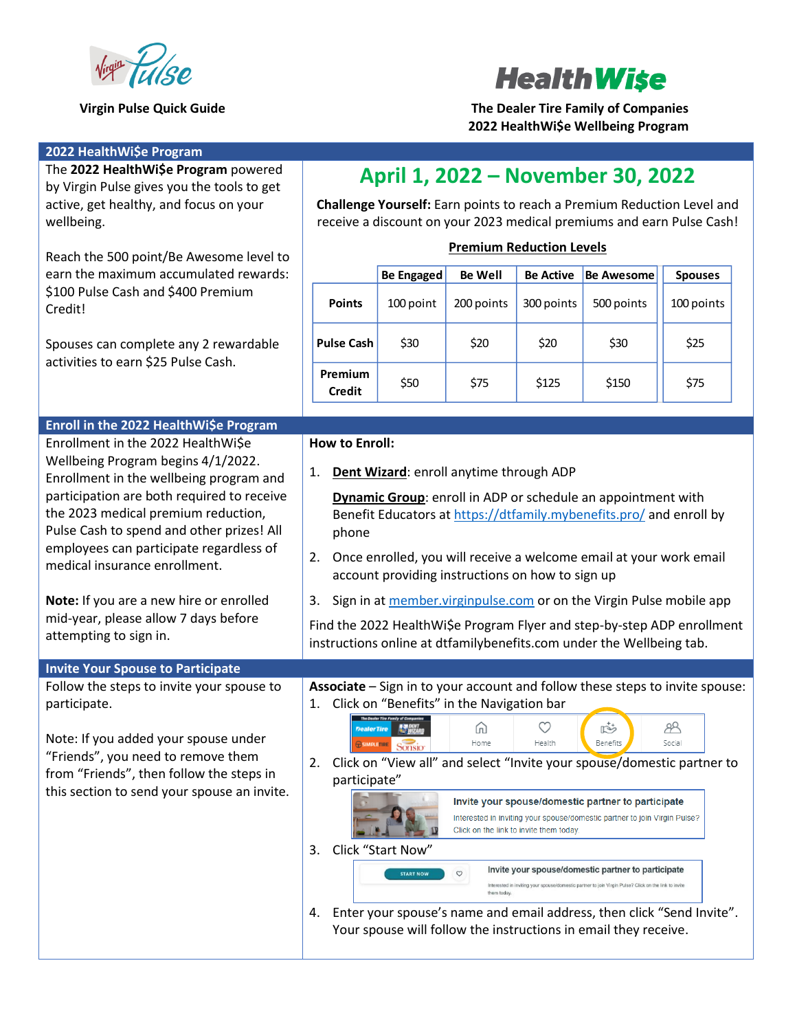



**Virgin Pulse Quick Guide The Dealer Tire Family of Companies 2022 HealthWi\$e Wellbeing Program**

| 2022 HealthWi\$e Program                                                                                                                                                                                                                                                                    |                                                                                                                                                                                                                                                                              |                                       |                                                |                                                   |                                                                                                                                                                                                                                                                                                                                                                                                                                                                                                                                  |                                                                                   |
|---------------------------------------------------------------------------------------------------------------------------------------------------------------------------------------------------------------------------------------------------------------------------------------------|------------------------------------------------------------------------------------------------------------------------------------------------------------------------------------------------------------------------------------------------------------------------------|---------------------------------------|------------------------------------------------|---------------------------------------------------|----------------------------------------------------------------------------------------------------------------------------------------------------------------------------------------------------------------------------------------------------------------------------------------------------------------------------------------------------------------------------------------------------------------------------------------------------------------------------------------------------------------------------------|-----------------------------------------------------------------------------------|
| The 2022 HealthWi\$e Program powered<br>by Virgin Pulse gives you the tools to get                                                                                                                                                                                                          |                                                                                                                                                                                                                                                                              |                                       |                                                |                                                   | April 1, 2022 - November 30, 2022                                                                                                                                                                                                                                                                                                                                                                                                                                                                                                |                                                                                   |
| active, get healthy, and focus on your<br>wellbeing.                                                                                                                                                                                                                                        | Challenge Yourself: Earn points to reach a Premium Reduction Level and<br>receive a discount on your 2023 medical premiums and earn Pulse Cash!                                                                                                                              |                                       |                                                |                                                   |                                                                                                                                                                                                                                                                                                                                                                                                                                                                                                                                  |                                                                                   |
| Reach the 500 point/Be Awesome level to<br>earn the maximum accumulated rewards:<br>\$100 Pulse Cash and \$400 Premium<br>Credit!                                                                                                                                                           | <b>Premium Reduction Levels</b>                                                                                                                                                                                                                                              |                                       |                                                |                                                   |                                                                                                                                                                                                                                                                                                                                                                                                                                                                                                                                  |                                                                                   |
|                                                                                                                                                                                                                                                                                             |                                                                                                                                                                                                                                                                              | <b>Be Engaged</b>                     | <b>Be Well</b>                                 | <b>Be Active</b>                                  | <b>Be Awesome</b>                                                                                                                                                                                                                                                                                                                                                                                                                                                                                                                | <b>Spouses</b>                                                                    |
|                                                                                                                                                                                                                                                                                             | <b>Points</b>                                                                                                                                                                                                                                                                | 100 point                             | 200 points                                     | 300 points                                        | 500 points                                                                                                                                                                                                                                                                                                                                                                                                                                                                                                                       | 100 points                                                                        |
| Spouses can complete any 2 rewardable<br>activities to earn \$25 Pulse Cash.                                                                                                                                                                                                                | <b>Pulse Cash</b>                                                                                                                                                                                                                                                            | \$30                                  | \$20                                           | \$20                                              | \$30                                                                                                                                                                                                                                                                                                                                                                                                                                                                                                                             | \$25                                                                              |
|                                                                                                                                                                                                                                                                                             | Premium<br><b>Credit</b>                                                                                                                                                                                                                                                     | \$50                                  | \$75                                           | \$125                                             | \$150                                                                                                                                                                                                                                                                                                                                                                                                                                                                                                                            | \$75                                                                              |
| Enroll in the 2022 HealthWi\$e Program                                                                                                                                                                                                                                                      |                                                                                                                                                                                                                                                                              |                                       |                                                |                                                   |                                                                                                                                                                                                                                                                                                                                                                                                                                                                                                                                  |                                                                                   |
| Enrollment in the 2022 HealthWi\$e                                                                                                                                                                                                                                                          | <b>How to Enroll:</b>                                                                                                                                                                                                                                                        |                                       |                                                |                                                   |                                                                                                                                                                                                                                                                                                                                                                                                                                                                                                                                  |                                                                                   |
| Wellbeing Program begins 4/1/2022.<br>Enrollment in the wellbeing program and<br>participation are both required to receive<br>the 2023 medical premium reduction,<br>Pulse Cash to spend and other prizes! All<br>employees can participate regardless of<br>medical insurance enrollment. | Dent Wizard: enroll anytime through ADP<br>1.                                                                                                                                                                                                                                |                                       |                                                |                                                   |                                                                                                                                                                                                                                                                                                                                                                                                                                                                                                                                  |                                                                                   |
|                                                                                                                                                                                                                                                                                             | Dynamic Group: enroll in ADP or schedule an appointment with<br>Benefit Educators at https://dtfamily.mybenefits.pro/ and enroll by<br>phone<br>Once enrolled, you will receive a welcome email at your work email<br>2.<br>account providing instructions on how to sign up |                                       |                                                |                                                   |                                                                                                                                                                                                                                                                                                                                                                                                                                                                                                                                  |                                                                                   |
| Note: If you are a new hire or enrolled<br>mid-year, please allow 7 days before<br>attempting to sign in.                                                                                                                                                                                   | 3.                                                                                                                                                                                                                                                                           |                                       |                                                |                                                   | Sign in at member.virginpulse.com or on the Virgin Pulse mobile app<br>instructions online at dtfamilybenefits.com under the Wellbeing tab.                                                                                                                                                                                                                                                                                                                                                                                      | Find the 2022 HealthWi\$e Program Flyer and step-by-step ADP enrollment           |
| <b>Invite Your Spouse to Participate</b>                                                                                                                                                                                                                                                    |                                                                                                                                                                                                                                                                              |                                       |                                                |                                                   |                                                                                                                                                                                                                                                                                                                                                                                                                                                                                                                                  |                                                                                   |
| Follow the steps to invite your spouse to<br>participate.                                                                                                                                                                                                                                   | 1.                                                                                                                                                                                                                                                                           | <b>NATIONAL PROPERTY</b>              | Click on "Benefits" in the Navigation bar<br>⋒ | $\circ$                                           | $\mathbb{R}^+$                                                                                                                                                                                                                                                                                                                                                                                                                                                                                                                   | Associate - Sign in to your account and follow these steps to invite spouse:<br>Æ |
| Note: If you added your spouse under<br>"Friends", you need to remove them<br>from "Friends", then follow the steps in<br>this section to send your spouse an invite.                                                                                                                       | <b>BIMPLETIRE</b><br>2.<br>participate"<br>3.<br>4.                                                                                                                                                                                                                          | Click "Start Now"<br><b>START NOW</b> | Home<br>$\heartsuit$<br>them today.            | Health<br>Click on the link to invite them today. | Benefits<br>Click on "View all" and select "Invite your spouse/domestic partner to<br>Invite your spouse/domestic partner to participate<br>Interested in inviting your spouse/domestic partner to join Virgin Pulse?<br>Invite your spouse/domestic partner to participate<br>Interested in inviting your spouse/domestic partner to join Virgin Pulse? Click on the link to invite<br>Enter your spouse's name and email address, then click "Send Invite".<br>Your spouse will follow the instructions in email they receive. | Social                                                                            |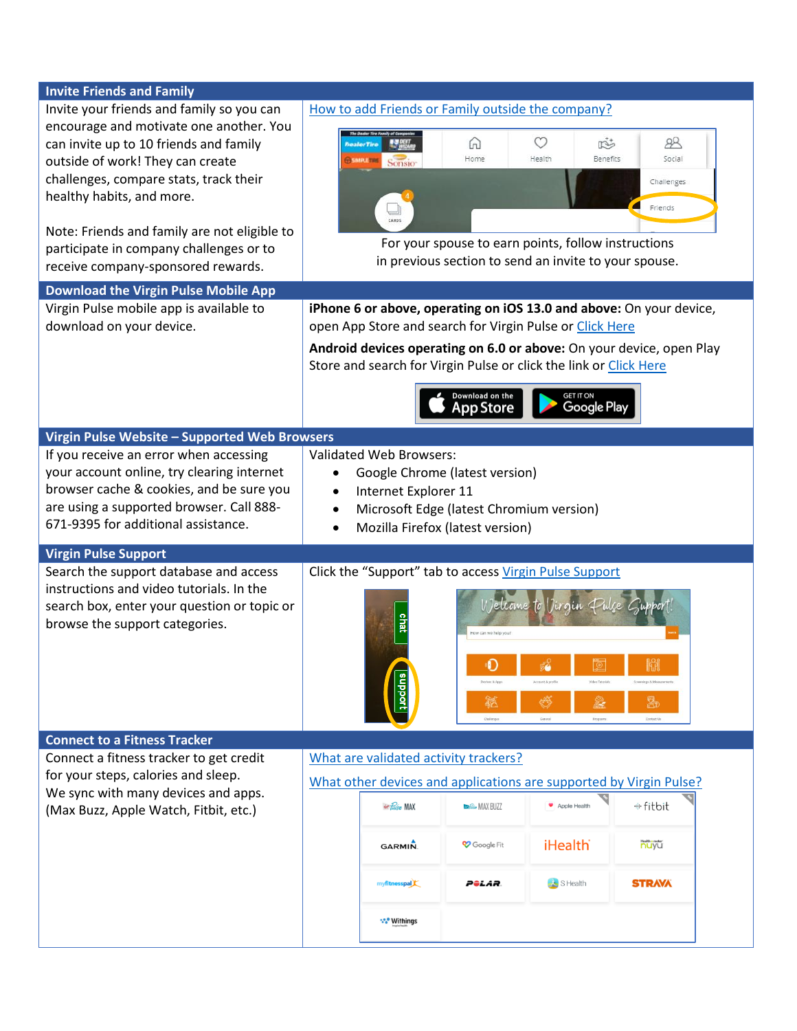| <b>Invite Friends and Family</b>              |                                               |                                       |                                 |                                                                    |                                                                      |
|-----------------------------------------------|-----------------------------------------------|---------------------------------------|---------------------------------|--------------------------------------------------------------------|----------------------------------------------------------------------|
| Invite your friends and family so you can     |                                               |                                       |                                 | How to add Friends or Family outside the company?                  |                                                                      |
| encourage and motivate one another. You       |                                               |                                       |                                 |                                                                    |                                                                      |
| can invite up to 10 friends and family        |                                               |                                       | ω                               | O<br>$\mathbb{R}^2$                                                | 88                                                                   |
| outside of work! They can create              |                                               | Sonsio                                | Home                            | Benefits<br>Health                                                 | Social                                                               |
| challenges, compare stats, track their        |                                               |                                       |                                 |                                                                    |                                                                      |
| healthy habits, and more.                     |                                               |                                       |                                 |                                                                    | Challenges                                                           |
|                                               |                                               |                                       |                                 |                                                                    | Friends                                                              |
|                                               |                                               |                                       |                                 |                                                                    |                                                                      |
| Note: Friends and family are not eligible to  |                                               |                                       |                                 | For your spouse to earn points, follow instructions                |                                                                      |
| participate in company challenges or to       |                                               |                                       |                                 | in previous section to send an invite to your spouse.              |                                                                      |
| receive company-sponsored rewards.            |                                               |                                       |                                 |                                                                    |                                                                      |
| <b>Download the Virgin Pulse Mobile App</b>   |                                               |                                       |                                 |                                                                    |                                                                      |
| Virgin Pulse mobile app is available to       |                                               |                                       |                                 |                                                                    | iPhone 6 or above, operating on iOS 13.0 and above: On your device,  |
| download on your device.                      |                                               |                                       |                                 | open App Store and search for Virgin Pulse or Click Here           |                                                                      |
|                                               |                                               |                                       |                                 |                                                                    | Android devices operating on 6.0 or above: On your device, open Play |
|                                               |                                               |                                       |                                 | Store and search for Virgin Pulse or click the link or Click Here  |                                                                      |
|                                               |                                               |                                       |                                 |                                                                    |                                                                      |
|                                               |                                               |                                       | Download on the                 | GET IT ON                                                          |                                                                      |
|                                               |                                               |                                       | pp Store                        | Google Play                                                        |                                                                      |
| Virgin Pulse Website - Supported Web Browsers |                                               |                                       |                                 |                                                                    |                                                                      |
| If you receive an error when accessing        |                                               | <b>Validated Web Browsers:</b>        |                                 |                                                                    |                                                                      |
|                                               |                                               |                                       |                                 |                                                                    |                                                                      |
| your account online, try clearing internet    | $\bullet$                                     | Google Chrome (latest version)        |                                 |                                                                    |                                                                      |
| browser cache & cookies, and be sure you      | Internet Explorer 11                          |                                       |                                 |                                                                    |                                                                      |
| are using a supported browser. Call 888-      | Microsoft Edge (latest Chromium version)<br>٠ |                                       |                                 |                                                                    |                                                                      |
| 671-9395 for additional assistance.           |                                               | Mozilla Firefox (latest version)      |                                 |                                                                    |                                                                      |
| <b>Virgin Pulse Support</b>                   |                                               |                                       |                                 |                                                                    |                                                                      |
| Search the support database and access        |                                               |                                       |                                 | Click the "Support" tab to access Virgin Pulse Support             |                                                                      |
| instructions and video tutorials. In the      |                                               |                                       |                                 |                                                                    |                                                                      |
| search box, enter your question or topic or   |                                               |                                       |                                 | Welcome to Virgin Pulse Guppor                                     |                                                                      |
| browse the support categories.                |                                               |                                       |                                 |                                                                    |                                                                      |
|                                               |                                               |                                       | How can we help you?            |                                                                    |                                                                      |
|                                               |                                               |                                       |                                 |                                                                    |                                                                      |
|                                               |                                               |                                       | $\bullet$                       | ŽÔ                                                                 |                                                                      |
|                                               |                                               |                                       | Devices & Apps                  | Account & profile<br>Video Tutorials                               | <b>Screenings &amp; Measurer</b>                                     |
|                                               |                                               | aupport                               | 籁                               | G<br>ê.                                                            | $\mathbb{R}$                                                         |
|                                               |                                               |                                       | <b>Challenges</b>               | General<br>Programs                                                | Contact Us                                                           |
| <b>Connect to a Fitness Tracker</b>           |                                               |                                       |                                 |                                                                    |                                                                      |
| Connect a fitness tracker to get credit       |                                               | What are validated activity trackers? |                                 |                                                                    |                                                                      |
| for your steps, calories and sleep.           |                                               |                                       |                                 |                                                                    |                                                                      |
| We sync with many devices and apps.           |                                               |                                       |                                 | What other devices and applications are supported by Virgin Pulse? |                                                                      |
| (Max Buzz, Apple Watch, Fitbit, etc.)         |                                               | <del>to Pulse</del> MAX               | <b><i>Children</i></b> MAX BUZZ | Apple Health                                                       | + fitbit                                                             |
|                                               |                                               |                                       |                                 |                                                                    |                                                                      |
|                                               |                                               | <b>GARMIN</b>                         | Coogle Fit                      | <b>iHealth</b>                                                     | <b>Health ometer:</b>                                                |
|                                               |                                               |                                       |                                 |                                                                    |                                                                      |
|                                               |                                               |                                       |                                 |                                                                    |                                                                      |
|                                               |                                               | myfitnesspal                          | Pêlar.                          | $S$ Health                                                         | <b>STRAVA</b>                                                        |
|                                               |                                               |                                       |                                 |                                                                    |                                                                      |
|                                               |                                               | *** Withings                          |                                 |                                                                    |                                                                      |
|                                               |                                               |                                       |                                 |                                                                    |                                                                      |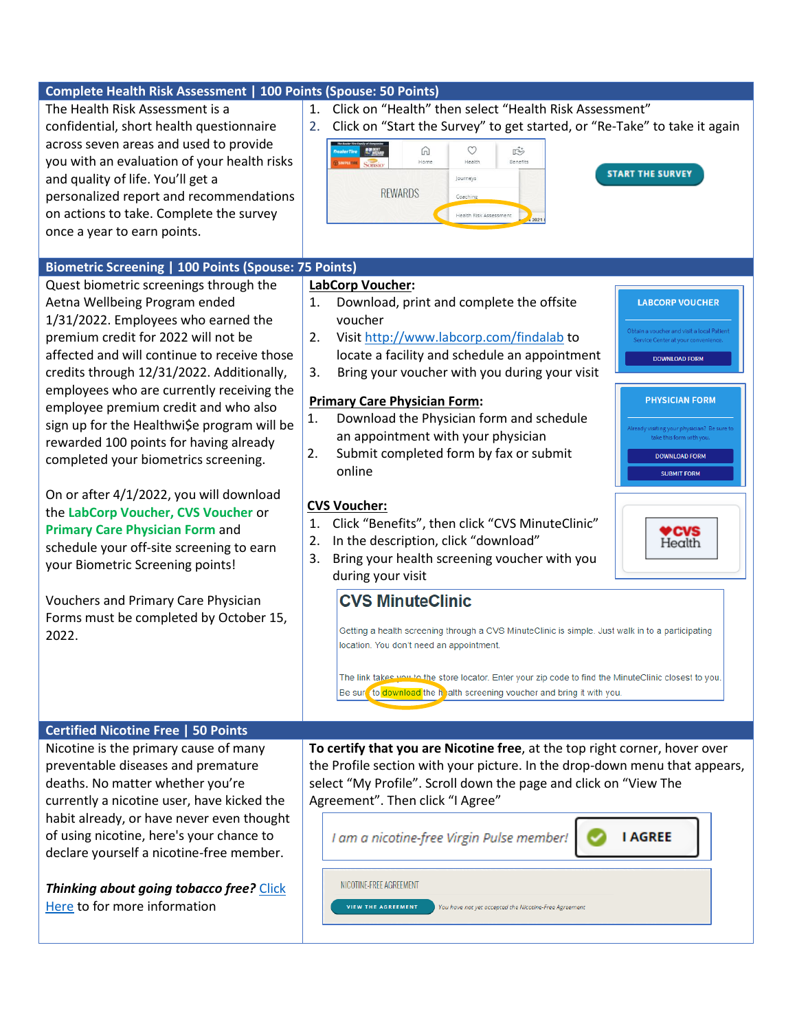| Complete Health Risk Assessment   100 Points (Spouse: 50 Points)<br>The Health Risk Assessment is a<br>confidential, short health questionnaire<br>across seven areas and used to provide<br>you with an evaluation of your health risks<br>and quality of life. You'll get a<br>personalized report and recommendations<br>on actions to take. Complete the survey<br>once a year to earn points.<br>Biometric Screening   100 Points (Spouse: 75 Points)<br>Quest biometric screenings through the<br>Aetna Wellbeing Program ended<br>1/31/2022. Employees who earned the | Click on "Health" then select "Health Risk Assessment"<br>$1_{\cdot}$<br>Click on "Start the Survey" to get started, or "Re-Take" to take it again<br>2.<br>v<br>⋒<br>$\mathbb{R}^2$<br><b>ANTIQUES</b><br>Health<br>Benefits<br>Home<br><b>START THE SURVEY</b><br>Journeys<br><b>REWARDS</b><br>Coaching<br>Health Risk Assessment<br>2021<br>LabCorp Voucher:<br>Download, print and complete the offsite<br>1.<br><b>LABCORP VOUCHER</b><br>voucher                                                |
|------------------------------------------------------------------------------------------------------------------------------------------------------------------------------------------------------------------------------------------------------------------------------------------------------------------------------------------------------------------------------------------------------------------------------------------------------------------------------------------------------------------------------------------------------------------------------|--------------------------------------------------------------------------------------------------------------------------------------------------------------------------------------------------------------------------------------------------------------------------------------------------------------------------------------------------------------------------------------------------------------------------------------------------------------------------------------------------------|
| premium credit for 2022 will not be<br>affected and will continue to receive those<br>credits through 12/31/2022. Additionally,<br>employees who are currently receiving the<br>employee premium credit and who also<br>sign up for the Healthwi\$e program will be<br>rewarded 100 points for having already                                                                                                                                                                                                                                                                | Obtain a voucher and visit a local Patient<br>Visit http://www.labcorp.com/findalab to<br>2.<br>Service Center at your convenience.<br>locate a facility and schedule an appointment<br><b>DOWNLOAD FORM</b><br>Bring your voucher with you during your visit<br>3.<br><b>Primary Care Physician Form:</b><br><b>PHYSICIAN FORM</b><br>Download the Physician form and schedule<br>1.<br>Already visiting your physician? Be sure to<br>an appointment with your physician<br>take this form with you. |
| completed your biometrics screening.<br>On or after 4/1/2022, you will download<br>the LabCorp Voucher, CVS Voucher or<br><b>Primary Care Physician Form and</b><br>schedule your off-site screening to earn<br>your Biometric Screening points!<br>Vouchers and Primary Care Physician<br>Forms must be completed by October 15,<br>2022.                                                                                                                                                                                                                                   | 2.<br>Submit completed form by fax or submit<br><b>DOWNLOAD FORM</b><br>online<br><b>SUBMIT FORM</b><br><b>CVS Voucher:</b><br>Click "Benefits", then click "CVS MinuteClinic"<br>1.<br><b>2GVS</b><br>In the description, click "download"<br>2.<br>Heath<br>Bring your health screening voucher with you<br>3.<br>during your visit<br><b>CVS MinuteClinic</b><br>Getting a health screening through a CVS MinuteClinic is simple. Just walk in to a participating                                   |
| <b>Certified Nicotine Free   50 Points</b><br>Nicotine is the primary cause of many                                                                                                                                                                                                                                                                                                                                                                                                                                                                                          | location. You don't need an appointment.<br>The link takes you to the store locator. Enter your zip code to find the MinuteClinic closest to you.<br>Be sure to download the helath screening voucher and bring it with you.<br>To certify that you are Nicotine free, at the top right corner, hover over                                                                                                                                                                                             |
| preventable diseases and premature<br>deaths. No matter whether you're<br>currently a nicotine user, have kicked the<br>habit already, or have never even thought<br>of using nicotine, here's your chance to<br>declare yourself a nicotine-free member.                                                                                                                                                                                                                                                                                                                    | the Profile section with your picture. In the drop-down menu that appears,<br>select "My Profile". Scroll down the page and click on "View The<br>Agreement". Then click "I Agree"<br><b>I AGREE</b><br>I am a nicotine-free Virgin Pulse member!                                                                                                                                                                                                                                                      |
| Thinking about going tobacco free? Click<br>Here to for more information                                                                                                                                                                                                                                                                                                                                                                                                                                                                                                     | NICOTINE-FREE AGREEMENT<br><b>VIEW THE AGREEMENT</b><br>You have not yet accepted the Nicotine-Free Agreement                                                                                                                                                                                                                                                                                                                                                                                          |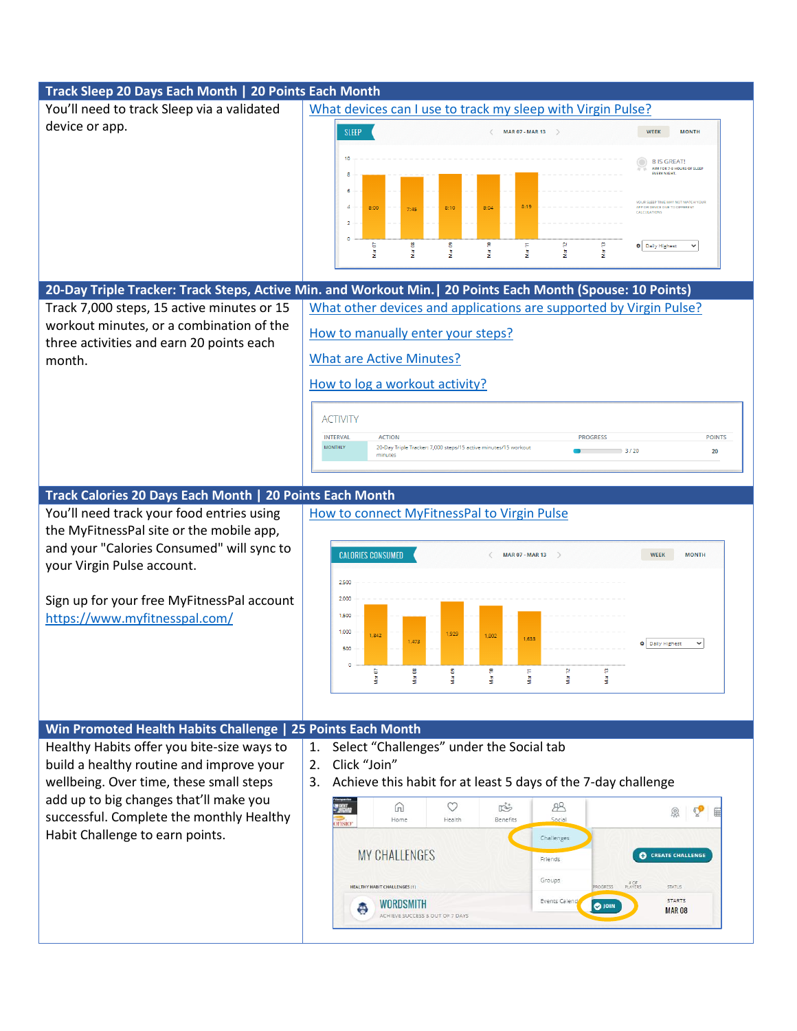## **Track Sleep 20 Days Each Month | 20 Points Each Month** You'll need to track Sleep via a validated [What devices can I use to track my sleep with Virgin Pulse?](https://virginpulse.zendesk.com/hc/en-us/articles/206182050-What-devices-can-I-use-to-track-my-sleep-with-Virgin-Pulse-) device or app. SLEEP MAR 07 - MAR 13  $\Rightarrow$ WEEK MONTH 10 8 IS GREAT!<br>AIM FOR 7-8 HOURS OF SLEEP<br>EVERY NIGHT  $8:19$  $8:00$  $\overline{\phantom{a}}$  $\circ$  $Mar 12$  $\bullet$  Daily Highest  $\bullet$ Mar 07  $M<sub>eff</sub>$ Mar 09 Mar 11 ł **20-Day Triple Tracker: Track Steps, Active Min. and Workout Min.| 20 Points Each Month (Spouse: 10 Points)** Track 7,000 steps, 15 active minutes or 15 [What other devices and applications are supported by Virgin Pulse?](https://virginpulse.zendesk.com/hc/en-us/articles/205627204-What-other-devices-and-applications-are-supported-by-Virgin-Pulse-) workout minutes, or a combination of the [How to manually enter your steps?](https://virginpulse.zendesk.com/hc/en-us/articles/204823446-How-to-manually-enter-your-steps) three activities and earn 20 points each [What are Active Minutes?](https://virginpulse.zendesk.com/hc/en-us/articles/204837616-What-are-Active-Minutes-) month. [How to log a workout activity?](https://virginpulse.zendesk.com/hc/en-us/articles/360051455191-How-to-log-a-workout-activity-) **ACTIVITY INTERVAL ACTION PROGRESS POINTS** 20-Day Triple Tracker: 7,000 steps/15 active minutes/15 workout **MONTHLY**  $3/20$ 20 minutes **Track Calories 20 Days Each Month | 20 Points Each Month** You'll need track your food entries using [How to connect MyFitnessPal to Virgin Pulse](https://virginpulse.zendesk.com/hc/en-us/articles/4406892277780-How-to-connect-MyFitnessPal-to-Virgin-Pulse) the MyFitnessPal site or the mobile app, and your "Calories Consumed" will sync to **CALORIES CONSUMED MAR 07 - MAR 13 WEEK MONTH** your Virgin Pulse account. 2,500 Sign up for your free MyFitnessPal account 2,000 1,500 <https://www.myfitnesspal.com/> 1,000 1,925 1.633 1.473  $\oint$  Daily Highest  $\checkmark$ 500 d Mar 07 Mar 09 ø dar 11 ğ ğ 海 **Win Promoted Health Habits Challenge | 25 Points Each Month** 1. Select "Challenges" under the Social tab Healthy Habits offer you bite-size ways to build a healthy routine and improve your 2. Click "Join" wellbeing. Over time, these small steps 3. Achieve this habit for at least 5 days of the 7-day challengeadd up to big changes that'll make you  $\infty$  $\mathbb{R}^{+}$  $R$ 而 **Q** ♡ 面 successful. Complete the monthly Healthy Health Benefit Social Home Habit Challenge to earn points. Challenges **MY CHALLENGES CO** CREATE CHALLENGE Friends Groups **HEALTHY HABIT CHALLENGES (1) STATUS STARTS** Events Calend **WORDSMITH O** JOIN ල **MAR08** ACHIEVE SUCCESS 5 OUT OF 7 DAYS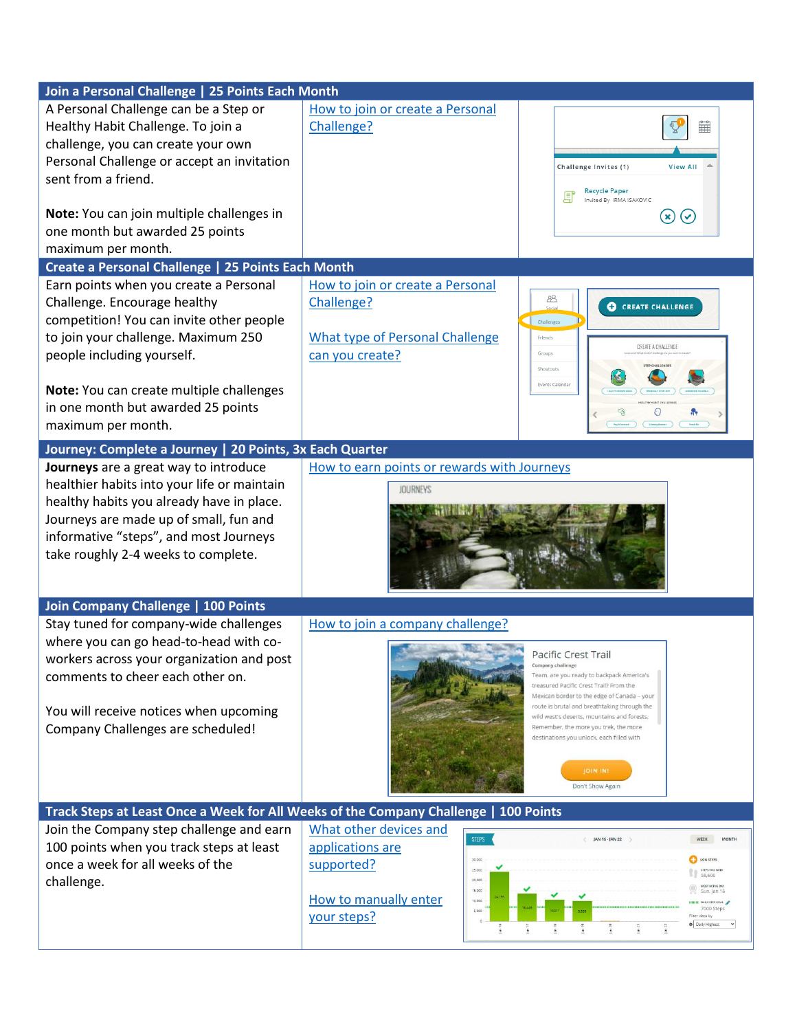| Join a Personal Challenge   25 Points Each Month                                     |                                             |                                                                                             |
|--------------------------------------------------------------------------------------|---------------------------------------------|---------------------------------------------------------------------------------------------|
| A Personal Challenge can be a Step or                                                | How to join or create a Personal            |                                                                                             |
| Healthy Habit Challenge. To join a                                                   | Challenge?                                  |                                                                                             |
| challenge, you can create your own                                                   |                                             |                                                                                             |
| Personal Challenge or accept an invitation                                           |                                             | Challenge Invites (1)<br><b>View All</b>                                                    |
| sent from a friend.                                                                  |                                             |                                                                                             |
|                                                                                      |                                             | <b>Recycle Paper</b><br>Invited By IRMA ISAKOVIC                                            |
| Note: You can join multiple challenges in                                            |                                             | $\circledast$<br>$\left(\mathbf{v}\right)$                                                  |
| one month but awarded 25 points                                                      |                                             |                                                                                             |
| maximum per month.                                                                   |                                             |                                                                                             |
| Create a Personal Challenge   25 Points Each Month                                   |                                             |                                                                                             |
| Earn points when you create a Personal                                               | How to join or create a Personal            |                                                                                             |
| Challenge. Encourage healthy                                                         | Challenge?                                  | க<br><b>CO</b> CREATE CHALLENGE<br>Social                                                   |
| competition! You can invite other people                                             |                                             | Challenges                                                                                  |
| to join your challenge. Maximum 250                                                  | <b>What type of Personal Challenge</b>      | Friends<br>CREATE A CHALLENG                                                                |
| people including yourself.                                                           | can you create?                             | Groups<br><b>STEP CHALLENGE</b>                                                             |
|                                                                                      |                                             | Shoutouts<br>Events Calendar                                                                |
| Note: You can create multiple challenges                                             |                                             |                                                                                             |
| in one month but awarded 25 points                                                   |                                             | €                                                                                           |
| maximum per month.                                                                   |                                             |                                                                                             |
| Journey: Complete a Journey   20 Points, 3x Each Quarter                             |                                             |                                                                                             |
| Journeys are a great way to introduce                                                | How to earn points or rewards with Journeys |                                                                                             |
| healthier habits into your life or maintain                                          | <b>JOURNEYS</b>                             |                                                                                             |
| healthy habits you already have in place.                                            |                                             |                                                                                             |
| Journeys are made up of small, fun and                                               |                                             |                                                                                             |
| informative "steps", and most Journeys                                               |                                             |                                                                                             |
| take roughly 2-4 weeks to complete.                                                  |                                             |                                                                                             |
|                                                                                      |                                             |                                                                                             |
|                                                                                      |                                             |                                                                                             |
| Join Company Challenge   100 Points                                                  |                                             |                                                                                             |
| Stay tuned for company-wide challenges                                               | How to join a company challenge?            |                                                                                             |
| where you can go head-to-head with co-                                               |                                             | Pacific Crest Trail                                                                         |
| workers across your organization and post<br>comments to cheer each other on.        |                                             | npany challenge<br>Team, are you ready to backpack America's                                |
|                                                                                      |                                             | treasured Pacific Crest Trail? From the                                                     |
| You will receive notices when upcoming                                               |                                             | Mexican border to the edge of Canada - your<br>route is brutal and breathtaking through the |
| Company Challenges are scheduled!                                                    |                                             | wild west's deserts, mountains and forests.<br>Remember, the more you trek, the more        |
|                                                                                      |                                             | destinations you unlock, each filled with                                                   |
|                                                                                      |                                             |                                                                                             |
|                                                                                      |                                             | <b>JOIN IN</b>                                                                              |
|                                                                                      |                                             | Don't Show Again                                                                            |
| Track Steps at Least Once a Week for All Weeks of the Company Challenge   100 Points |                                             |                                                                                             |
| Join the Company step challenge and earn                                             | What other devices and<br><b>STEPS</b>      | <b>MONTH</b><br>JAN 16 - JAN 22                                                             |
| 100 points when you track steps at least                                             | applications are                            |                                                                                             |
| once a week for all weeks of the                                                     | 30,000<br>supported?<br>25.00               | LOG STEPS<br>58,600                                                                         |
| challenge.                                                                           | 20,000<br>15,000                            | MOST ACTIVE DA<br>Sun, Jan 16                                                               |
|                                                                                      | How to manually enter<br>10,000<br>5,000    | <b>HIII DAKYSTEP GOAL</b><br>7000 Steps                                                     |
|                                                                                      | your steps?                                 | Filter data by<br>Caily Highest                                                             |
|                                                                                      |                                             |                                                                                             |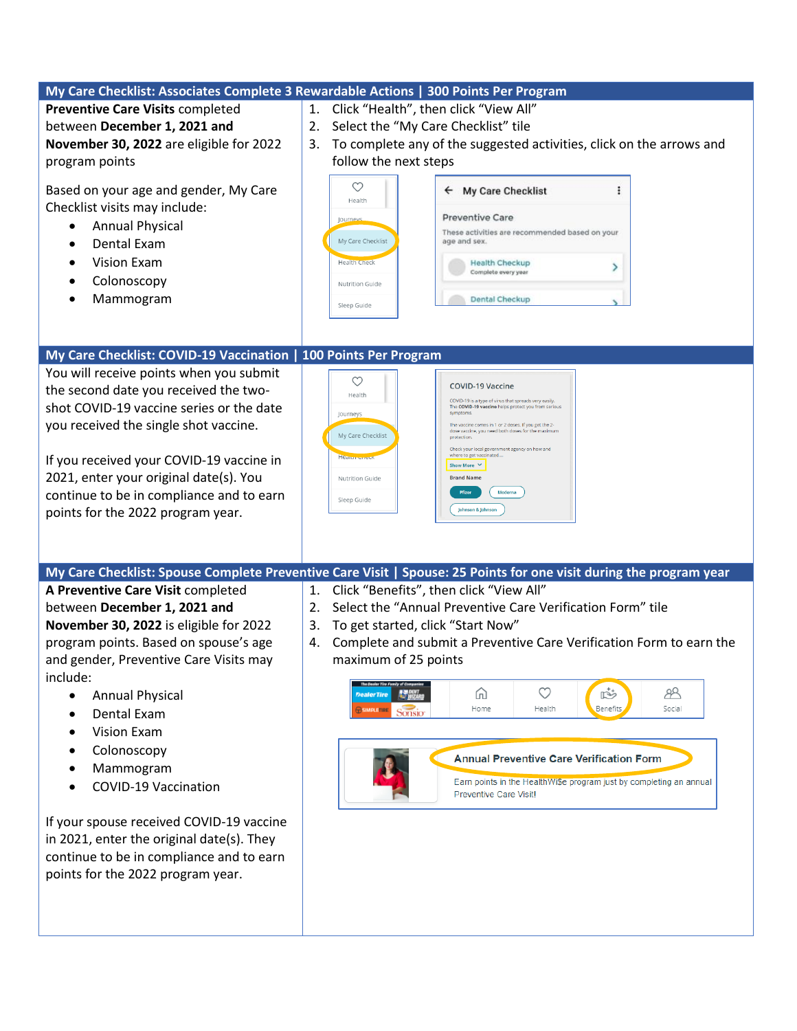|                                                                                                                                                                                                                                                                                                                                                                                                                                                                                                                                                                  | My Care Checklist: Associates Complete 3 Rewardable Actions   300 Points Per Program                                                                                                                                                                                                                                                                                                                                                                                                                                                                                                                                                                                  |
|------------------------------------------------------------------------------------------------------------------------------------------------------------------------------------------------------------------------------------------------------------------------------------------------------------------------------------------------------------------------------------------------------------------------------------------------------------------------------------------------------------------------------------------------------------------|-----------------------------------------------------------------------------------------------------------------------------------------------------------------------------------------------------------------------------------------------------------------------------------------------------------------------------------------------------------------------------------------------------------------------------------------------------------------------------------------------------------------------------------------------------------------------------------------------------------------------------------------------------------------------|
| <b>Preventive Care Visits completed</b><br>between December 1, 2021 and<br>November 30, 2022 are eligible for 2022<br>program points<br>Based on your age and gender, My Care<br>Checklist visits may include:<br><b>Annual Physical</b><br>$\bullet$<br>Dental Exam<br>$\bullet$<br><b>Vision Exam</b><br>$\bullet$<br>Colonoscopy<br>$\bullet$<br>Mammogram                                                                                                                                                                                                    | Click "Health", then click "View All"<br>1.<br>Select the "My Care Checklist" tile<br>2.<br>To complete any of the suggested activities, click on the arrows and<br>3.<br>follow the next steps<br>$\circlearrowright$<br>My Care Checklist<br>÷<br>←<br>Health<br><b>Preventive Care</b><br>Journeys<br>These activities are recommended based on your<br>My Care Checklist<br>age and sex.<br><b>Health Check</b><br><b>Health Checkup</b><br>⋗<br>Complete every year<br>Nutrition Guide<br>Dental Checkup<br>Sleep Guide                                                                                                                                          |
| My Care Checklist: COVID-19 Vaccination   100 Points Per Program<br>You will receive points when you submit<br>the second date you received the two-<br>shot COVID-19 vaccine series or the date<br>you received the single shot vaccine.<br>If you received your COVID-19 vaccine in<br>2021, enter your original date(s). You<br>continue to be in compliance and to earn<br>points for the 2022 program year.                                                                                                                                                 | $\circlearrowright$<br><b>COVID-19 Vaccine</b><br>Health<br>COVID-19 is a type of virus that spreads very easily.<br>The COVID-19 vaccine helps protect you from serious<br>symptoms<br>Journeys<br>The vaccine comes in 1 or 2 doses. If you get the 2-<br>dose vaccine, you need both doses for the maximum<br>My Care Checklist<br>protection<br>Check your local government agency on how and<br>where to get vaccinated<br><b>Health Circu</b><br>Show More ∨<br><b>Brand Name</b><br>Nutrition Guide<br>Pfizer<br>Moderna<br>Sleep Guide<br>Johnson & Johnson                                                                                                   |
|                                                                                                                                                                                                                                                                                                                                                                                                                                                                                                                                                                  |                                                                                                                                                                                                                                                                                                                                                                                                                                                                                                                                                                                                                                                                       |
| A Preventive Care Visit completed<br>between December 1, 2021 and<br>November 30, 2022 is eligible for 2022<br>program points. Based on spouse's age<br>and gender, Preventive Care Visits may<br>include:<br><b>Annual Physical</b><br>$\bullet$<br>Dental Exam<br>$\bullet$<br>Vision Exam<br>$\bullet$<br>Colonoscopy<br>$\bullet$<br>Mammogram<br>٠<br><b>COVID-19 Vaccination</b><br>If your spouse received COVID-19 vaccine<br>in 2021, enter the original date(s). They<br>continue to be in compliance and to earn<br>points for the 2022 program year. | My Care Checklist: Spouse Complete Preventive Care Visit   Spouse: 25 Points for one visit during the program year<br>Click "Benefits", then click "View All"<br>1.<br>Select the "Annual Preventive Care Verification Form" tile<br>2.<br>To get started, click "Start Now"<br>3.<br>Complete and submit a Preventive Care Verification Form to earn the<br>4.<br>maximum of 25 points<br>$\circlearrowleft$<br>$\mathbb{R}^+$<br>88<br>⋒<br><b>DealerTire</b><br>Benefits<br>Home<br>Health<br>Social<br>Sonsio<br><b>Annual Preventive Care Verification Form</b><br>Earn points in the HealthWi\$e program just by completing an annual<br>Preventive Care Visit! |